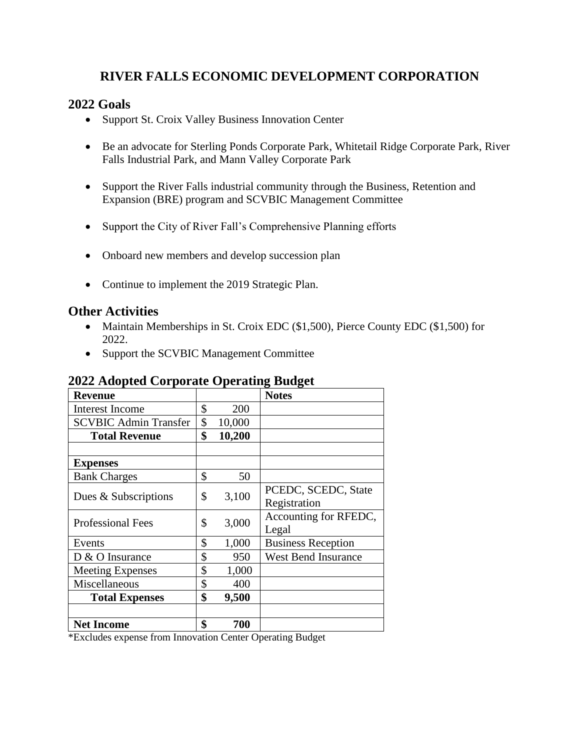## **RIVER FALLS ECONOMIC DEVELOPMENT CORPORATION**

### **2022 Goals**

- Support St. Croix Valley Business Innovation Center
- Be an advocate for Sterling Ponds Corporate Park, Whitetail Ridge Corporate Park, River Falls Industrial Park, and Mann Valley Corporate Park
- Support the River Falls industrial community through the Business, Retention and Expansion (BRE) program and SCVBIC Management Committee
- Support the City of River Fall's Comprehensive Planning efforts
- Onboard new members and develop succession plan
- Continue to implement the 2019 Strategic Plan.

### **Other Activities**

- Maintain Memberships in St. Croix EDC (\$1,500), Pierce County EDC (\$1,500) for 2022.
- Support the SCVBIC Management Committee

#### **2022 Adopted Corporate Operating Budget**

|                              |              | 0<br>o                     |
|------------------------------|--------------|----------------------------|
| <b>Revenue</b>               |              | <b>Notes</b>               |
| <b>Interest Income</b>       | \$<br>200    |                            |
| <b>SCVBIC Admin Transfer</b> | \$<br>10,000 |                            |
| <b>Total Revenue</b>         | \$<br>10,200 |                            |
|                              |              |                            |
| <b>Expenses</b>              |              |                            |
| <b>Bank Charges</b>          | \$<br>50     |                            |
| Dues & Subscriptions         | \$<br>3,100  | PCEDC, SCEDC, State        |
|                              |              | Registration               |
| <b>Professional Fees</b>     | \$<br>3,000  | Accounting for RFEDC,      |
|                              |              | Legal                      |
| Events                       | \$<br>1,000  | <b>Business Reception</b>  |
| D & O Insurance              | \$<br>950    | <b>West Bend Insurance</b> |
| <b>Meeting Expenses</b>      | \$<br>1,000  |                            |
| Miscellaneous                | \$<br>400    |                            |
| <b>Total Expenses</b>        | \$<br>9,500  |                            |
|                              |              |                            |
| <b>Net Income</b>            | \$<br>700    |                            |

\*Excludes expense from Innovation Center Operating Budget